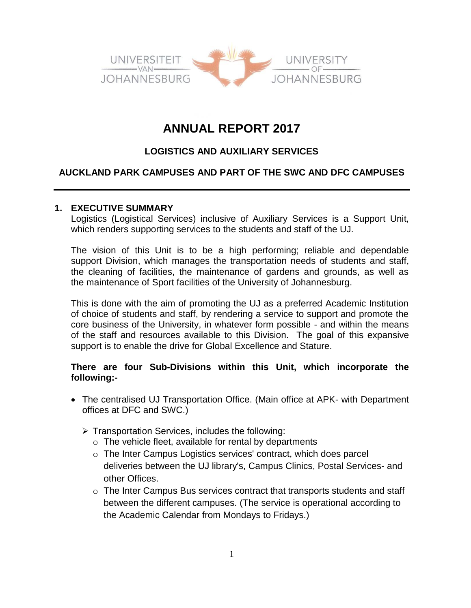

# **ANNUAL REPORT 2017**

# **LOGISTICS AND AUXILIARY SERVICES**

# **AUCKLAND PARK CAMPUSES AND PART OF THE SWC AND DFC CAMPUSES**

#### **1. EXECUTIVE SUMMARY**

Logistics (Logistical Services) inclusive of Auxiliary Services is a Support Unit, which renders supporting services to the students and staff of the UJ.

The vision of this Unit is to be a high performing; reliable and dependable support Division, which manages the transportation needs of students and staff, the cleaning of facilities, the maintenance of gardens and grounds, as well as the maintenance of Sport facilities of the University of Johannesburg.

This is done with the aim of promoting the UJ as a preferred Academic Institution of choice of students and staff, by rendering a service to support and promote the core business of the University, in whatever form possible - and within the means of the staff and resources available to this Division. The goal of this expansive support is to enable the drive for Global Excellence and Stature.

### **There are four Sub-Divisions within this Unit, which incorporate the following:-**

- The centralised UJ Transportation Office. (Main office at APK- with Department offices at DFC and SWC.)
	- $\triangleright$  Transportation Services, includes the following:
		- o The vehicle fleet, available for rental by departments
		- o The Inter Campus Logistics services' contract, which does parcel deliveries between the UJ library's, Campus Clinics, Postal Services- and other Offices.
		- $\circ$  The Inter Campus Bus services contract that transports students and staff between the different campuses. (The service is operational according to the Academic Calendar from Mondays to Fridays.)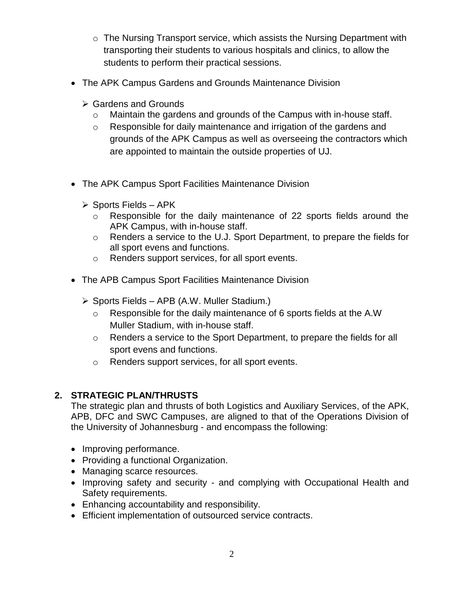- $\circ$  The Nursing Transport service, which assists the Nursing Department with transporting their students to various hospitals and clinics, to allow the students to perform their practical sessions.
- The APK Campus Gardens and Grounds Maintenance Division
	- **► Gardens and Grounds** 
		- o Maintain the gardens and grounds of the Campus with in-house staff.
		- o Responsible for daily maintenance and irrigation of the gardens and grounds of the APK Campus as well as overseeing the contractors which are appointed to maintain the outside properties of UJ.
- The APK Campus Sport Facilities Maintenance Division
	- $\triangleright$  Sports Fields APK
		- o Responsible for the daily maintenance of 22 sports fields around the APK Campus, with in-house staff.
		- o Renders a service to the U.J. Sport Department, to prepare the fields for all sport evens and functions.
		- o Renders support services, for all sport events.
- The APB Campus Sport Facilities Maintenance Division
	- $\triangleright$  Sports Fields APB (A.W. Muller Stadium.)
		- o Responsible for the daily maintenance of 6 sports fields at the A.W Muller Stadium, with in-house staff.
		- o Renders a service to the Sport Department, to prepare the fields for all sport evens and functions.
		- o Renders support services, for all sport events.

# **2. STRATEGIC PLAN/THRUSTS**

The strategic plan and thrusts of both Logistics and Auxiliary Services, of the APK, APB, DFC and SWC Campuses, are aligned to that of the Operations Division of the University of Johannesburg - and encompass the following:

- Improving performance.
- Providing a functional Organization.
- Managing scarce resources.
- Improving safety and security and complying with Occupational Health and Safety requirements.
- Enhancing accountability and responsibility.
- Efficient implementation of outsourced service contracts.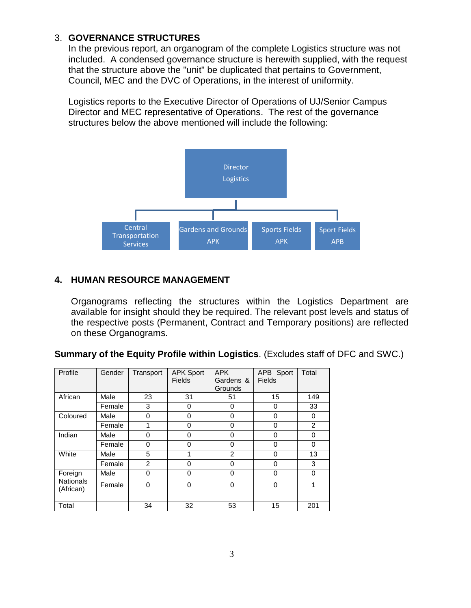### 3. **GOVERNANCE STRUCTURES**

In the previous report, an organogram of the complete Logistics structure was not included. A condensed governance structure is herewith supplied, with the request that the structure above the "unit" be duplicated that pertains to Government, Council, MEC and the DVC of Operations, in the interest of uniformity.

Logistics reports to the Executive Director of Operations of UJ/Senior Campus Director and MEC representative of Operations. The rest of the governance structures below the above mentioned will include the following:



### **4. HUMAN RESOURCE MANAGEMENT**

Organograms reflecting the structures within the Logistics Department are available for insight should they be required. The relevant post levels and status of the respective posts (Permanent, Contract and Temporary positions) are reflected on these Organograms.

| Profile                                  | Gender | Transport | <b>APK Sport</b> | <b>APK</b>     | APB Sport     | Total          |
|------------------------------------------|--------|-----------|------------------|----------------|---------------|----------------|
|                                          |        |           | <b>Fields</b>    | Gardens &      | <b>Fields</b> |                |
|                                          |        |           |                  | <b>Grounds</b> |               |                |
| African                                  | Male   | 23        | 31               | 51             | 15            | 149            |
|                                          | Female | 3         | 0                | 0              | 0             | 33             |
| Coloured                                 | Male   | $\Omega$  | $\mathbf{0}$     | $\mathbf{0}$   | $\Omega$      | $\Omega$       |
|                                          | Female |           | 0                | 0              | $\mathbf 0$   | $\overline{2}$ |
| Indian                                   | Male   | 0         | $\Omega$         | $\mathbf{0}$   | $\Omega$      | $\Omega$       |
|                                          | Female | $\Omega$  | 0                | $\mathbf{0}$   | $\mathbf 0$   | 0              |
| White                                    | Male   | 5         | 1                | $\overline{2}$ | 0             | 13             |
|                                          | Female | 2         | $\Omega$         | $\mathbf{0}$   | $\mathbf 0$   | 3              |
| Foreign<br><b>Nationals</b><br>(African) | Male   | $\Omega$  | $\mathbf{0}$     | 0              | $\mathbf 0$   | $\mathbf{0}$   |
|                                          | Female | $\Omega$  | $\Omega$         | 0              | $\mathbf 0$   | 1              |
| Total                                    |        | 34        | 32               | 53             | 15            | 201            |

| Summary of the Equity Profile within Logistics. (Excludes staff of DFC and SWC.) |  |  |  |  |  |
|----------------------------------------------------------------------------------|--|--|--|--|--|
|----------------------------------------------------------------------------------|--|--|--|--|--|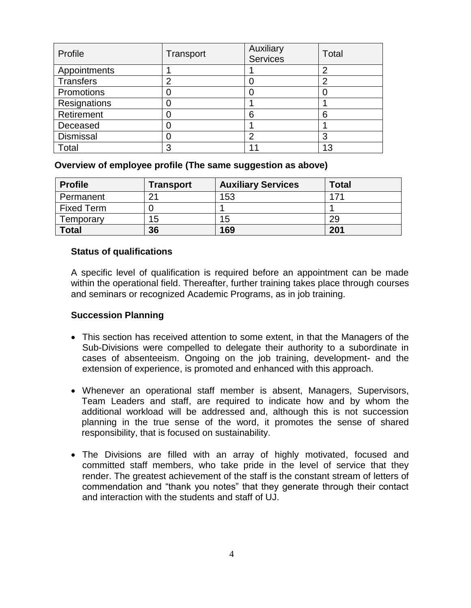| Profile          | Transport | Auxiliary<br><b>Services</b> | Total |
|------------------|-----------|------------------------------|-------|
| Appointments     |           |                              | 2     |
| <b>Transfers</b> | 2         |                              | っ     |
| Promotions       |           |                              |       |
| Resignations     |           |                              |       |
| Retirement       |           | 6                            | 6     |
| Deceased         |           |                              |       |
| <b>Dismissal</b> |           | ◠                            | 3     |
| Total            | 3         |                              | 13    |

#### **Overview of employee profile (The same suggestion as above)**

| <b>Profile</b>    | <b>Transport</b> | <b>Auxiliary Services</b> | <b>Total</b> |
|-------------------|------------------|---------------------------|--------------|
| Permanent         | 21               | 153                       | 171          |
| <b>Fixed Term</b> |                  |                           |              |
| Temporary         | 15               | 15                        | 29           |
| <b>Total</b>      | 36               | 169                       | 201          |

#### **Status of qualifications**

A specific level of qualification is required before an appointment can be made within the operational field. Thereafter, further training takes place through courses and seminars or recognized Academic Programs, as in job training.

#### **Succession Planning**

- This section has received attention to some extent, in that the Managers of the Sub-Divisions were compelled to delegate their authority to a subordinate in cases of absenteeism. Ongoing on the job training, development- and the extension of experience, is promoted and enhanced with this approach.
- Whenever an operational staff member is absent, Managers, Supervisors, Team Leaders and staff, are required to indicate how and by whom the additional workload will be addressed and, although this is not succession planning in the true sense of the word, it promotes the sense of shared responsibility, that is focused on sustainability.
- The Divisions are filled with an array of highly motivated, focused and committed staff members, who take pride in the level of service that they render. The greatest achievement of the staff is the constant stream of letters of commendation and "thank you notes" that they generate through their contact and interaction with the students and staff of UJ.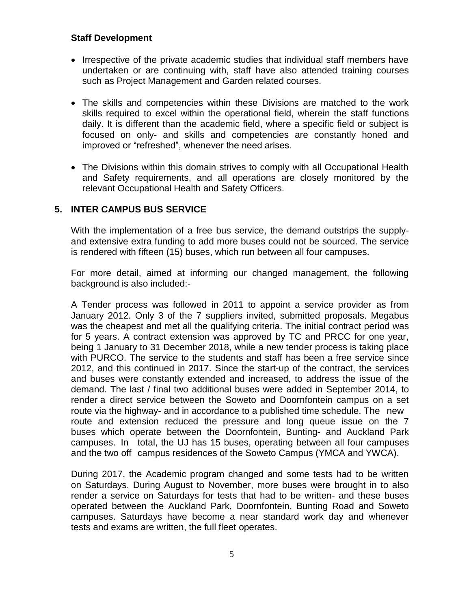#### **Staff Development**

- Irrespective of the private academic studies that individual staff members have undertaken or are continuing with, staff have also attended training courses such as Project Management and Garden related courses.
- The skills and competencies within these Divisions are matched to the work skills required to excel within the operational field, wherein the staff functions daily. It is different than the academic field, where a specific field or subject is focused on only- and skills and competencies are constantly honed and improved or "refreshed", whenever the need arises.
- The Divisions within this domain strives to comply with all Occupational Health and Safety requirements, and all operations are closely monitored by the relevant Occupational Health and Safety Officers.

#### **5. INTER CAMPUS BUS SERVICE**

With the implementation of a free bus service, the demand outstrips the supplyand extensive extra funding to add more buses could not be sourced. The service is rendered with fifteen (15) buses, which run between all four campuses.

For more detail, aimed at informing our changed management, the following background is also included:-

A Tender process was followed in 2011 to appoint a service provider as from January 2012. Only 3 of the 7 suppliers invited, submitted proposals. Megabus was the cheapest and met all the qualifying criteria. The initial contract period was for 5 years. A contract extension was approved by TC and PRCC for one year, being 1 January to 31 December 2018, while a new tender process is taking place with PURCO. The service to the students and staff has been a free service since 2012, and this continued in 2017. Since the start-up of the contract, the services and buses were constantly extended and increased, to address the issue of the demand. The last / final two additional buses were added in September 2014, to render a direct service between the Soweto and Doornfontein campus on a set route via the highway- and in accordance to a published time schedule. The new route and extension reduced the pressure and long queue issue on the 7 buses which operate between the Doornfontein, Bunting- and Auckland Park campuses. In total, the UJ has 15 buses, operating between all four campuses and the two off campus residences of the Soweto Campus (YMCA and YWCA).

During 2017, the Academic program changed and some tests had to be written on Saturdays. During August to November, more buses were brought in to also render a service on Saturdays for tests that had to be written- and these buses operated between the Auckland Park, Doornfontein, Bunting Road and Soweto campuses. Saturdays have become a near standard work day and whenever tests and exams are written, the full fleet operates.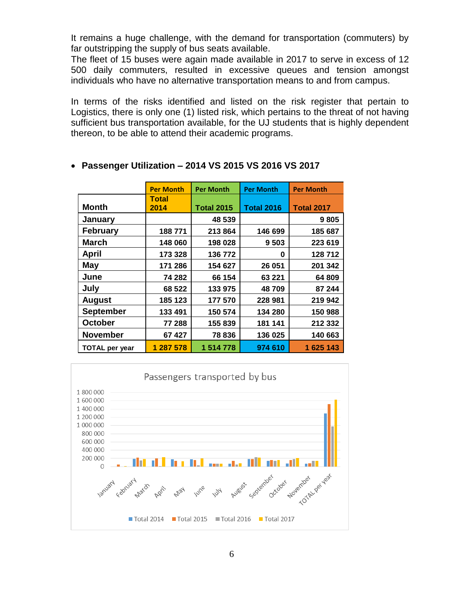It remains a huge challenge, with the demand for transportation (commuters) by far outstripping the supply of bus seats available.

The fleet of 15 buses were again made available in 2017 to serve in excess of 12 500 daily commuters, resulted in excessive queues and tension amongst individuals who have no alternative transportation means to and from campus.

In terms of the risks identified and listed on the risk register that pertain to Logistics, there is only one (1) listed risk, which pertains to the threat of not having sufficient bus transportation available, for the UJ students that is highly dependent thereon, to be able to attend their academic programs.

|                       | <b>Per Month</b> | <b>Per Month</b>  | <b>Per Month</b>  | <b>Per Month</b>  |
|-----------------------|------------------|-------------------|-------------------|-------------------|
| <b>Month</b>          | Total<br>2014    | <b>Total 2015</b> | <b>Total 2016</b> | <b>Total 2017</b> |
| <b>January</b>        |                  | 48 539            |                   | 9805              |
| <b>February</b>       | 188771           | 213 864           | 146 699           | 185 687           |
| <b>March</b>          | 148 060          | 198 028           | 9503              | 223 619           |
| <b>April</b>          | 173 328          | 136 772           | 0                 | 128 712           |
| <b>May</b>            | 171 286          | 154 627           | 26 051            | 201 342           |
| June                  | 74 282           | 66 154            | 63 221            | 64 809            |
| July                  | 68 522           | 133 975           | 48709             | 87 244            |
| <b>August</b>         | 185 123          | 177 570           | 228 981           | 219 942           |
| <b>September</b>      | 133 491          | 150 574           | 134 280           | 150 988           |
| <b>October</b>        | 77 288           | 155 839           | 181 141           | 212 332           |
| <b>November</b>       | 67427            | 78 836            | 136 025           | 140 663           |
| <b>TOTAL per year</b> | 1 287 578        | 1 514 778         | 974 610           | 1625143           |

#### **Passenger Utilization – 2014 VS 2015 VS 2016 VS 2017**

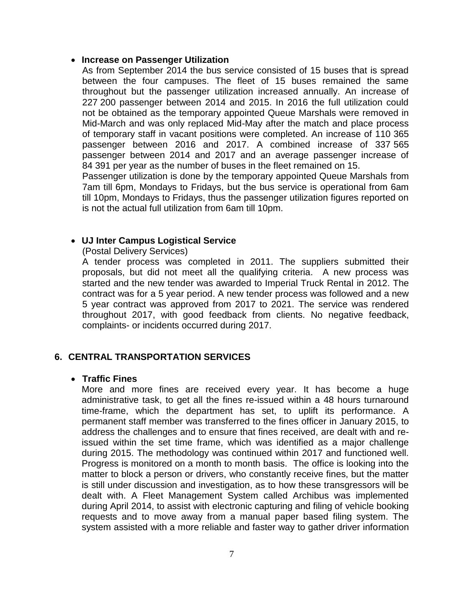#### **Increase on Passenger Utilization**

As from September 2014 the bus service consisted of 15 buses that is spread between the four campuses. The fleet of 15 buses remained the same throughout but the passenger utilization increased annually. An increase of 227 200 passenger between 2014 and 2015. In 2016 the full utilization could not be obtained as the temporary appointed Queue Marshals were removed in Mid-March and was only replaced Mid-May after the match and place process of temporary staff in vacant positions were completed. An increase of 110 365 passenger between 2016 and 2017. A combined increase of 337 565 passenger between 2014 and 2017 and an average passenger increase of 84 391 per year as the number of buses in the fleet remained on 15.

Passenger utilization is done by the temporary appointed Queue Marshals from 7am till 6pm, Mondays to Fridays, but the bus service is operational from 6am till 10pm, Mondays to Fridays, thus the passenger utilization figures reported on is not the actual full utilization from 6am till 10pm.

#### **UJ Inter Campus Logistical Service**

#### (Postal Delivery Services)

A tender process was completed in 2011. The suppliers submitted their proposals, but did not meet all the qualifying criteria. A new process was started and the new tender was awarded to Imperial Truck Rental in 2012. The contract was for a 5 year period. A new tender process was followed and a new 5 year contract was approved from 2017 to 2021. The service was rendered throughout 2017, with good feedback from clients. No negative feedback, complaints- or incidents occurred during 2017.

### **6. CENTRAL TRANSPORTATION SERVICES**

#### **Traffic Fines**

More and more fines are received every year. It has become a huge administrative task, to get all the fines re-issued within a 48 hours turnaround time-frame, which the department has set, to uplift its performance. A permanent staff member was transferred to the fines officer in January 2015, to address the challenges and to ensure that fines received, are dealt with and reissued within the set time frame, which was identified as a major challenge during 2015. The methodology was continued within 2017 and functioned well. Progress is monitored on a month to month basis. The office is looking into the matter to block a person or drivers, who constantly receive fines, but the matter is still under discussion and investigation, as to how these transgressors will be dealt with. A Fleet Management System called Archibus was implemented during April 2014, to assist with electronic capturing and filing of vehicle booking requests and to move away from a manual paper based filing system. The system assisted with a more reliable and faster way to gather driver information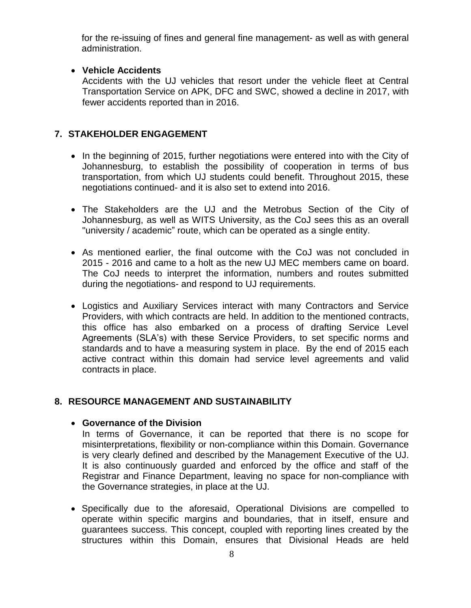for the re-issuing of fines and general fine management- as well as with general administration.

### **Vehicle Accidents**

Accidents with the UJ vehicles that resort under the vehicle fleet at Central Transportation Service on APK, DFC and SWC, showed a decline in 2017, with fewer accidents reported than in 2016.

# **7. STAKEHOLDER ENGAGEMENT**

- In the beginning of 2015, further negotiations were entered into with the City of Johannesburg, to establish the possibility of cooperation in terms of bus transportation, from which UJ students could benefit. Throughout 2015, these negotiations continued- and it is also set to extend into 2016.
- The Stakeholders are the UJ and the Metrobus Section of the City of Johannesburg, as well as WITS University, as the CoJ sees this as an overall "university / academic" route, which can be operated as a single entity.
- As mentioned earlier, the final outcome with the CoJ was not concluded in 2015 - 2016 and came to a holt as the new UJ MEC members came on board. The CoJ needs to interpret the information, numbers and routes submitted during the negotiations- and respond to UJ requirements.
- Logistics and Auxiliary Services interact with many Contractors and Service Providers, with which contracts are held. In addition to the mentioned contracts, this office has also embarked on a process of drafting Service Level Agreements (SLA's) with these Service Providers, to set specific norms and standards and to have a measuring system in place. By the end of 2015 each active contract within this domain had service level agreements and valid contracts in place.

# **8. RESOURCE MANAGEMENT AND SUSTAINABILITY**

### **Governance of the Division**

In terms of Governance, it can be reported that there is no scope for misinterpretations, flexibility or non-compliance within this Domain. Governance is very clearly defined and described by the Management Executive of the UJ. It is also continuously guarded and enforced by the office and staff of the Registrar and Finance Department, leaving no space for non-compliance with the Governance strategies, in place at the UJ.

• Specifically due to the aforesaid, Operational Divisions are compelled to operate within specific margins and boundaries, that in itself, ensure and guarantees success. This concept, coupled with reporting lines created by the structures within this Domain, ensures that Divisional Heads are held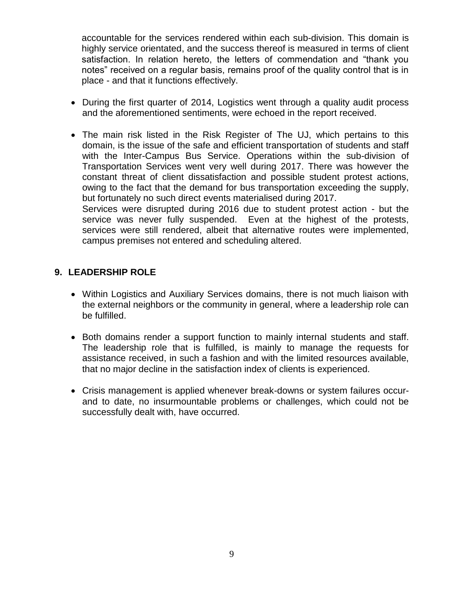accountable for the services rendered within each sub-division. This domain is highly service orientated, and the success thereof is measured in terms of client satisfaction. In relation hereto, the letters of commendation and "thank you notes" received on a regular basis, remains proof of the quality control that is in place - and that it functions effectively.

- During the first quarter of 2014, Logistics went through a quality audit process and the aforementioned sentiments, were echoed in the report received.
- The main risk listed in the Risk Register of The UJ, which pertains to this domain, is the issue of the safe and efficient transportation of students and staff with the Inter-Campus Bus Service. Operations within the sub-division of Transportation Services went very well during 2017. There was however the constant threat of client dissatisfaction and possible student protest actions, owing to the fact that the demand for bus transportation exceeding the supply, but fortunately no such direct events materialised during 2017. Services were disrupted during 2016 due to student protest action - but the

service was never fully suspended. Even at the highest of the protests, services were still rendered, albeit that alternative routes were implemented, campus premises not entered and scheduling altered.

#### **9. LEADERSHIP ROLE**

- Within Logistics and Auxiliary Services domains, there is not much liaison with the external neighbors or the community in general, where a leadership role can be fulfilled.
- Both domains render a support function to mainly internal students and staff. The leadership role that is fulfilled, is mainly to manage the requests for assistance received, in such a fashion and with the limited resources available, that no major decline in the satisfaction index of clients is experienced.
- Crisis management is applied whenever break-downs or system failures occurand to date, no insurmountable problems or challenges, which could not be successfully dealt with, have occurred.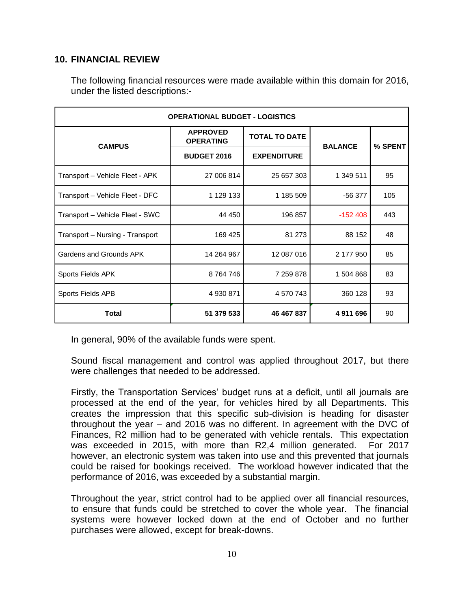### **10. FINANCIAL REVIEW**

The following financial resources were made available within this domain for 2016, under the listed descriptions:-

| <b>OPERATIONAL BUDGET - LOGISTICS</b> |                                          |                      |                |         |  |  |  |
|---------------------------------------|------------------------------------------|----------------------|----------------|---------|--|--|--|
|                                       | <b>APPROVED</b><br><b>OPERATING</b>      | <b>TOTAL TO DATE</b> |                |         |  |  |  |
| <b>CAMPUS</b>                         | <b>BUDGET 2016</b><br><b>EXPENDITURE</b> |                      | <b>BALANCE</b> | % SPENT |  |  |  |
| Transport - Vehicle Fleet - APK       | 27 006 814                               | 25 657 303           | 1 349 511      | 95      |  |  |  |
| Transport - Vehicle Fleet - DFC       | 1 129 133                                | 1 185 509            | -56 377        | 105     |  |  |  |
| Transport - Vehicle Fleet - SWC       | 44 450                                   | 196 857              | $-152408$      | 443     |  |  |  |
| Transport - Nursing - Transport       | 169 425                                  | 81 273               | 88 152         | 48      |  |  |  |
| Gardens and Grounds APK               | 14 264 967                               | 12 087 016           | 2 177 950      | 85      |  |  |  |
| Sports Fields APK                     | 8764746                                  | 7 259 878            | 1 504 868      | 83      |  |  |  |
| Sports Fields APB                     | 4 930 871                                | 4 570 743            | 360 128        | 93      |  |  |  |
| <b>Total</b>                          | 51 379 533                               | 46 467 837           | 4911696        | 90      |  |  |  |

In general, 90% of the available funds were spent.

Sound fiscal management and control was applied throughout 2017, but there were challenges that needed to be addressed.

Firstly, the Transportation Services' budget runs at a deficit, until all journals are processed at the end of the year, for vehicles hired by all Departments. This creates the impression that this specific sub-division is heading for disaster throughout the year – and 2016 was no different. In agreement with the DVC of Finances, R2 million had to be generated with vehicle rentals. This expectation was exceeded in 2015, with more than R2,4 million generated. For 2017 however, an electronic system was taken into use and this prevented that journals could be raised for bookings received. The workload however indicated that the performance of 2016, was exceeded by a substantial margin.

Throughout the year, strict control had to be applied over all financial resources, to ensure that funds could be stretched to cover the whole year. The financial systems were however locked down at the end of October and no further purchases were allowed, except for break-downs.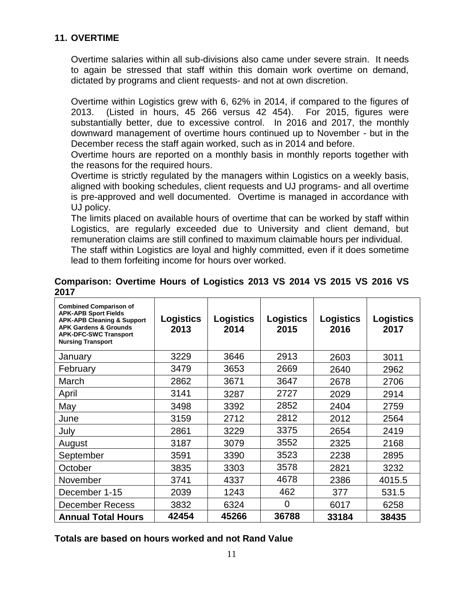### **11. OVERTIME**

Overtime salaries within all sub-divisions also came under severe strain. It needs to again be stressed that staff within this domain work overtime on demand, dictated by programs and client requests- and not at own discretion.

Overtime within Logistics grew with 6, 62% in 2014, if compared to the figures of 2013. (Listed in hours, 45 266 versus 42 454). For 2015, figures were substantially better, due to excessive control. In 2016 and 2017, the monthly downward management of overtime hours continued up to November - but in the December recess the staff again worked, such as in 2014 and before.

Overtime hours are reported on a monthly basis in monthly reports together with the reasons for the required hours.

Overtime is strictly regulated by the managers within Logistics on a weekly basis, aligned with booking schedules, client requests and UJ programs- and all overtime is pre-approved and well documented. Overtime is managed in accordance with UJ policy.

The limits placed on available hours of overtime that can be worked by staff within Logistics, are regularly exceeded due to University and client demand, but remuneration claims are still confined to maximum claimable hours per individual. The staff within Logistics are loyal and highly committed, even if it does sometime lead to them forfeiting income for hours over worked.

| 20 I I                                                                                                                                                                                                |                   |                          |                          |                          |                          |
|-------------------------------------------------------------------------------------------------------------------------------------------------------------------------------------------------------|-------------------|--------------------------|--------------------------|--------------------------|--------------------------|
| <b>Combined Comparison of</b><br><b>APK-APB Sport Fields</b><br><b>APK-APB Cleaning &amp; Support</b><br><b>APK Gardens &amp; Grounds</b><br><b>APK-DFC-SWC Transport</b><br><b>Nursing Transport</b> | Logistics<br>2013 | <b>Logistics</b><br>2014 | <b>Logistics</b><br>2015 | <b>Logistics</b><br>2016 | <b>Logistics</b><br>2017 |
| January                                                                                                                                                                                               | 3229              | 3646                     | 2913                     | 2603                     | 3011                     |
| February                                                                                                                                                                                              | 3479              | 3653                     | 2669                     | 2640                     | 2962                     |
| March                                                                                                                                                                                                 | 2862              | 3671                     | 3647                     | 2678                     | 2706                     |
| April                                                                                                                                                                                                 | 3141              | 3287                     | 2727                     | 2029                     | 2914                     |
| May                                                                                                                                                                                                   | 3498              | 3392                     | 2852                     | 2404                     | 2759                     |
| June                                                                                                                                                                                                  | 3159              | 2712                     | 2812                     | 2012                     | 2564                     |
| July                                                                                                                                                                                                  | 2861              | 3229                     | 3375                     | 2654                     | 2419                     |
| August                                                                                                                                                                                                | 3187              | 3079                     | 3552                     | 2325                     | 2168                     |
| September                                                                                                                                                                                             | 3591              | 3390                     | 3523                     | 2238                     | 2895                     |
| October                                                                                                                                                                                               | 3835              | 3303                     | 3578                     | 2821                     | 3232                     |
| November                                                                                                                                                                                              | 3741              | 4337                     | 4678                     | 2386                     | 4015.5                   |
| December 1-15                                                                                                                                                                                         | 2039              | 1243                     | 462                      | 377                      | 531.5                    |
| December Recess                                                                                                                                                                                       | 3832              | 6324                     | 0                        | 6017                     | 6258                     |
| <b>Annual Total Hours</b>                                                                                                                                                                             | 42454             | 45266                    | 36788                    | 33184                    | 38435                    |

### **Comparison: Overtime Hours of Logistics 2013 VS 2014 VS 2015 VS 2016 VS 2017**

**Totals are based on hours worked and not Rand Value**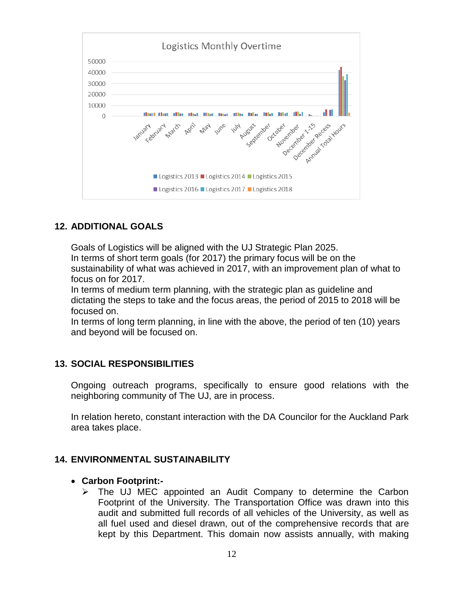

### **12. ADDITIONAL GOALS**

Goals of Logistics will be aligned with the UJ Strategic Plan 2025.

In terms of short term goals (for 2017) the primary focus will be on the sustainability of what was achieved in 2017, with an improvement plan of what to focus on for 2017.

In terms of medium term planning, with the strategic plan as guideline and dictating the steps to take and the focus areas, the period of 2015 to 2018 will be focused on.

In terms of long term planning, in line with the above, the period of ten (10) years and beyond will be focused on.

#### **13. SOCIAL RESPONSIBILITIES**

Ongoing outreach programs, specifically to ensure good relations with the neighboring community of The UJ, are in process.

In relation hereto, constant interaction with the DA Councilor for the Auckland Park area takes place.

#### **14. ENVIRONMENTAL SUSTAINABILITY**

#### **Carbon Footprint:-**

 $\triangleright$  The UJ MEC appointed an Audit Company to determine the Carbon Footprint of the University. The Transportation Office was drawn into this audit and submitted full records of all vehicles of the University, as well as all fuel used and diesel drawn, out of the comprehensive records that are kept by this Department. This domain now assists annually, with making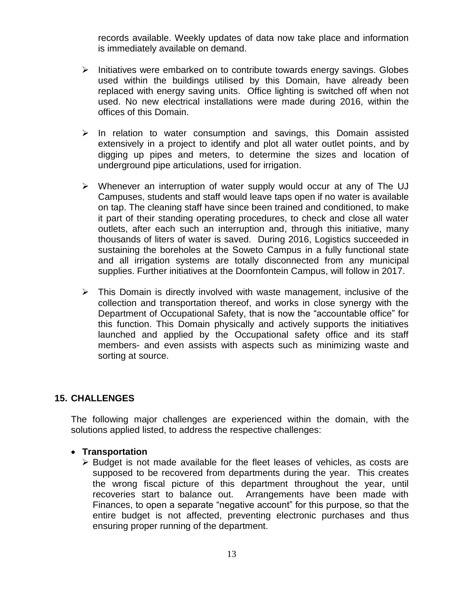records available. Weekly updates of data now take place and information is immediately available on demand.

- $\triangleright$  Initiatives were embarked on to contribute towards energy savings. Globes used within the buildings utilised by this Domain, have already been replaced with energy saving units. Office lighting is switched off when not used. No new electrical installations were made during 2016, within the offices of this Domain.
- $\triangleright$  In relation to water consumption and savings, this Domain assisted extensively in a project to identify and plot all water outlet points, and by digging up pipes and meters, to determine the sizes and location of underground pipe articulations, used for irrigation.
- $\triangleright$  Whenever an interruption of water supply would occur at any of The UJ Campuses, students and staff would leave taps open if no water is available on tap. The cleaning staff have since been trained and conditioned, to make it part of their standing operating procedures, to check and close all water outlets, after each such an interruption and, through this initiative, many thousands of liters of water is saved. During 2016, Logistics succeeded in sustaining the boreholes at the Soweto Campus in a fully functional state and all irrigation systems are totally disconnected from any municipal supplies. Further initiatives at the Doornfontein Campus, will follow in 2017.
- $\triangleright$  This Domain is directly involved with waste management, inclusive of the collection and transportation thereof, and works in close synergy with the Department of Occupational Safety, that is now the "accountable office" for this function. This Domain physically and actively supports the initiatives launched and applied by the Occupational safety office and its staff members- and even assists with aspects such as minimizing waste and sorting at source.

#### **15. CHALLENGES**

The following major challenges are experienced within the domain, with the solutions applied listed, to address the respective challenges:

#### **Transportation**

 $\triangleright$  Budget is not made available for the fleet leases of vehicles, as costs are supposed to be recovered from departments during the year. This creates the wrong fiscal picture of this department throughout the year, until recoveries start to balance out. Arrangements have been made with Finances, to open a separate "negative account" for this purpose, so that the entire budget is not affected, preventing electronic purchases and thus ensuring proper running of the department.